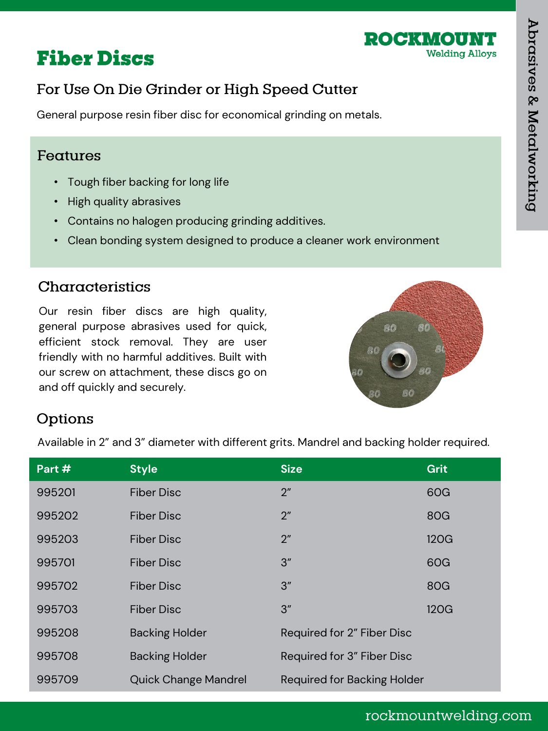

## **Fiber Discs**

## For Use On Die Grinder or High Speed Cutter

General purpose resin fiber disc for economical grinding on metals.

#### Features

- Tough fiber backing for long life
- High quality abrasives
- Contains no halogen producing grinding additives.
- Clean bonding system designed to produce a cleaner work environment

#### Characteristics

Our resin fiber discs are high quality, general purpose abrasives used for quick, efficient stock removal. They are user friendly with no harmful additives. Built with our screw on attachment, these discs go on and off quickly and securely.



#### Options

Available in 2" and 3" diameter with different grits. Mandrel and backing holder required.

| Part # | <b>Style</b>                | <b>Size</b>                        | Grit |
|--------|-----------------------------|------------------------------------|------|
| 995201 | <b>Fiber Disc</b>           | 2 <sup>''</sup>                    | 60G  |
| 995202 | <b>Fiber Disc</b>           | 2 <sup>''</sup>                    | 80G  |
| 995203 | <b>Fiber Disc</b>           | 2 <sup>''</sup>                    | 120G |
| 995701 | <b>Fiber Disc</b>           | 3''                                | 60G  |
| 995702 | <b>Fiber Disc</b>           | 3''                                | 80G  |
| 995703 | <b>Fiber Disc</b>           | 3''                                | 120G |
| 995208 | <b>Backing Holder</b>       | Required for 2" Fiber Disc         |      |
| 995708 | <b>Backing Holder</b>       | Required for 3" Fiber Disc         |      |
| 995709 | <b>Quick Change Mandrel</b> | <b>Required for Backing Holder</b> |      |